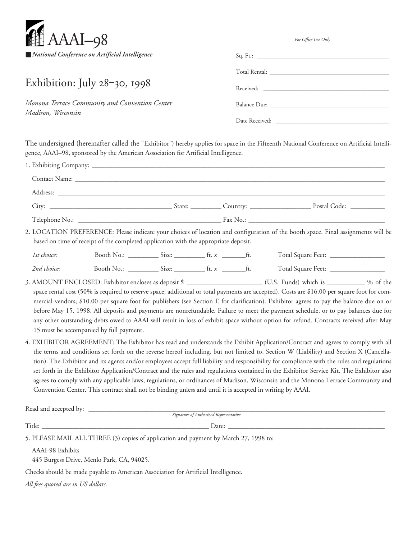

## Exhibition: July 28-30, 1998

*Monona Terrace Community and Convention Center Madison, Wisconsin*

| For Office Use Only |
|---------------------|
|                     |
|                     |
|                     |
| Balance Due:        |
|                     |

The undersigned (hereinafter called the "Exhibitor") hereby applies for space in the Fifteenth National Conference on Artificial Intelligence, AAAI–98, sponsored by the American Association for Artificial Intelligence.

|             | based on time of receipt of the completed application with the appropriate deposit.                       |  | 2. LOCATION PREFERENCE: Please indicate your choices of location and configuration of the booth space. Final assignments will be                                                                                                                                                                                                                                                                                                                                                                                                                                                                                                                                                                       |  |
|-------------|-----------------------------------------------------------------------------------------------------------|--|--------------------------------------------------------------------------------------------------------------------------------------------------------------------------------------------------------------------------------------------------------------------------------------------------------------------------------------------------------------------------------------------------------------------------------------------------------------------------------------------------------------------------------------------------------------------------------------------------------------------------------------------------------------------------------------------------------|--|
| 1st choice: |                                                                                                           |  |                                                                                                                                                                                                                                                                                                                                                                                                                                                                                                                                                                                                                                                                                                        |  |
| 2nd choice: |                                                                                                           |  | Total Square Feet: _________________                                                                                                                                                                                                                                                                                                                                                                                                                                                                                                                                                                                                                                                                   |  |
|             | 15 must be accompanied by full payment.                                                                   |  | mercial vendors; \$10.00 per square foot for publishers (see Section E for clarification). Exhibitor agrees to pay the balance due on or<br>before May 15, 1998. All deposits and payments are nonrefundable. Failure to meet the payment schedule, or to pay balances due for<br>any other outstanding debts owed to AAAI will result in loss of exhibit space without option for refund. Contracts received after May                                                                                                                                                                                                                                                                                |  |
|             | Convention Center. This contract shall not be binding unless and until it is accepted in writing by AAAI. |  | 4. EXHIBITOR AGREEMENT: The Exhibitor has read and understands the Exhibit Application/Contract and agrees to comply with all<br>the terms and conditions set forth on the reverse hereof including, but not limited to, Section W (Liability) and Section X (Cancella-<br>tion). The Exhibitor and its agents and/or employees accept full liability and responsibility for compliance with the rules and regulations<br>set forth in the Exhibitor Application/Contract and the rules and regulations contained in the Exhibitor Service Kit. The Exhibitor also<br>agrees to comply with any applicable laws, regulations, or ordinances of Madison, Wisconsin and the Monona Terrace Community and |  |
|             |                                                                                                           |  |                                                                                                                                                                                                                                                                                                                                                                                                                                                                                                                                                                                                                                                                                                        |  |
|             |                                                                                                           |  |                                                                                                                                                                                                                                                                                                                                                                                                                                                                                                                                                                                                                                                                                                        |  |
|             | 5. PLEASE MAIL ALL THREE (3) copies of application and payment by March 27, 1998 to:                      |  |                                                                                                                                                                                                                                                                                                                                                                                                                                                                                                                                                                                                                                                                                                        |  |

AAAI-98 Exhibits

445 Burgess Drive, Menlo Park, CA, 94025.

Checks should be made payable to American Association for Artificial Intelligence.

*All fees quoted are in US dollars.*